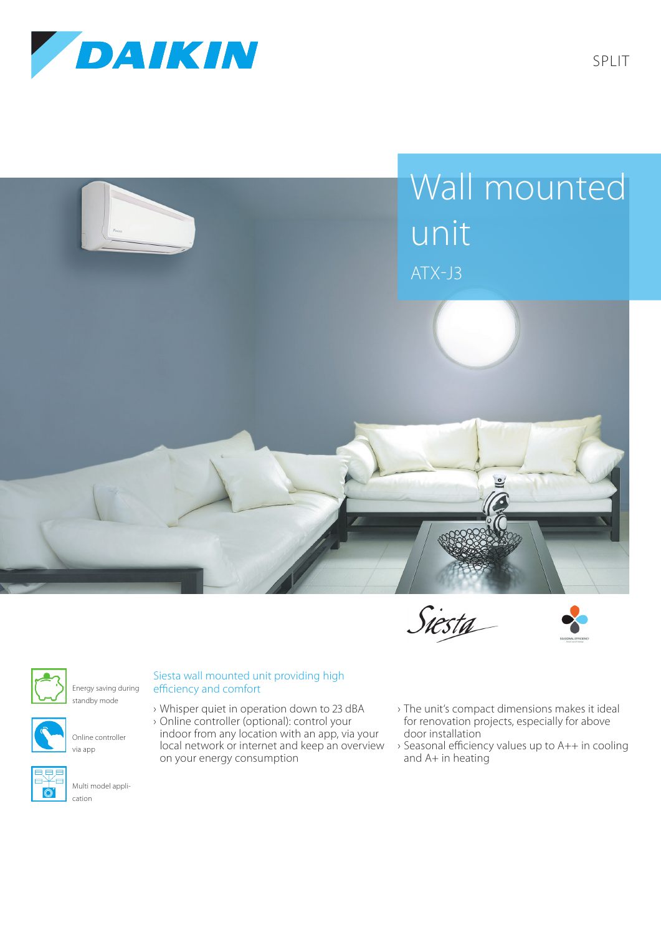

Split









Energy saving during standby mode



Online controller via app



Multi model application

## Siesta wall mounted unit providing high efficiency and comfort

- › Whisper quiet in operation down to 23 dBA › Online controller (optional): control your indoor from any location with an app, via your local network or internet and keep an overview on your energy consumption
- › The unit's compact dimensions makes it ideal for renovation projects, especially for above door installation
- › Seasonal efficiency values up to A++ in cooling and  $A+$  in heating